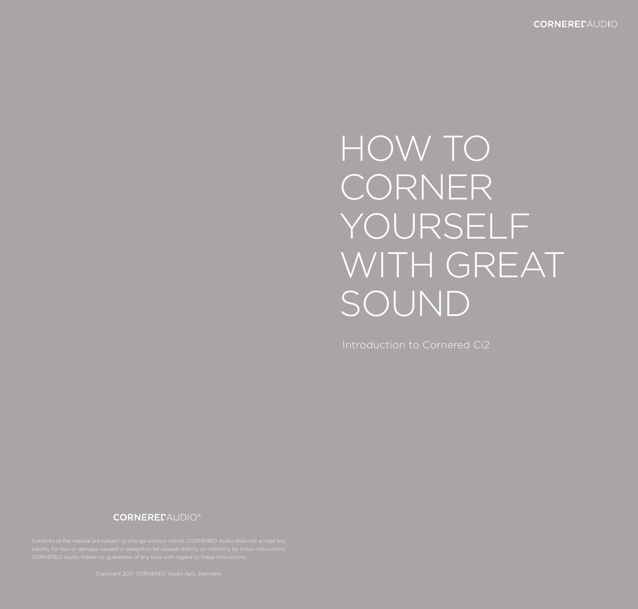# HOW TO **CORNER** YOURSELF WITH GREAT SOUND

Introduction to Cornered Ci2

### **CORNEREDAUDIO®**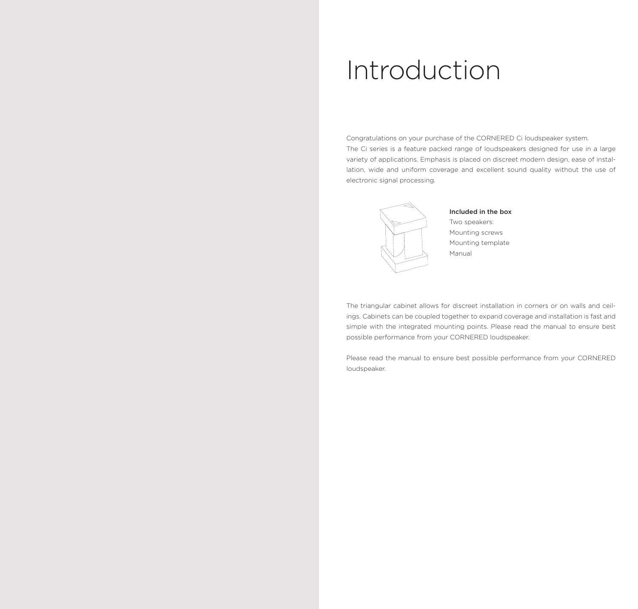### Introduction

Congratulations on your purchase of the CORNERED Ci loudspeaker system. The Ci series is a feature packed range of loudspeakers designed for use in a large variety of applications. Emphasis is placed on discreet modern design, ease of installation, wide and uniform coverage and excellent sound quality without the use of electronic signal processing.



#### Included in the box

Two speakers: Mounting screws Mounting template Manual

The triangular cabinet allows for discreet installation in corners or on walls and ceilings. Cabinets can be coupled together to expand coverage and installation is fast and simple with the integrated mounting points. Please read the manual to ensure best possible performance from your CORNERED loudspeaker.

Please read the manual to ensure best possible performance from your CORNERED loudspeaker.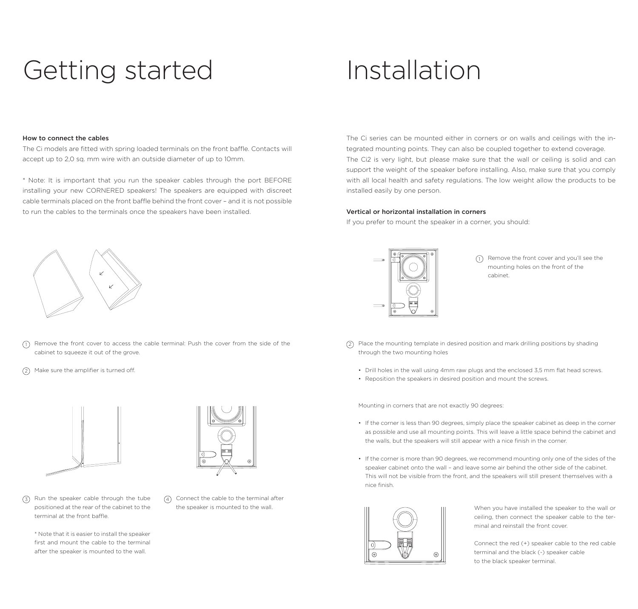# Getting started

### How to connect the cables

The Ci models are fitted with spring loaded terminals on the front baffle. Contacts will accept up to 2,0 sq. mm wire with an outside diameter of up to 10mm.

\* Note: It is important that you run the speaker cables through the port BEFORE installing your new CORNERED speakers! The speakers are equipped with discreet cable terminals placed on the front baffle behind the front cover – and it is not possible to run the cables to the terminals once the speakers have been installed.



 $\overline{\eta}$  Remove the front cover to access the cable terminal: Push the cover from the side of the cabinet to squeeze it out of the grove.

2 Make sure the amplifier is turned off.





3 Run the speaker cable through the tube positioned at the rear of the cabinet to the terminal at the front baffle.

\* Note that it is easier to install the speaker first and mount the cable to the terminal after the speaker is mounted to the wall.

Connect the cable to the terminal after 4 the speaker is mounted to the wall.

### Installation

The Ci series can be mounted either in corners or on walls and ceilings with the integrated mounting points. They can also be coupled together to extend coverage. The Ci2 is very light, but please make sure that the wall or ceiling is solid and can support the weight of the speaker before installing. Also, make sure that you comply with all local health and safety regulations. The low weight allow the products to be installed easily by one person.

#### Vertical or horizontal installation in corners

If you prefer to mount the speaker in a corner, you should:



(1) Remove the front cover and you'll see the mounting holes on the front of the cabinet.

- 2 Place the mounting template in desired position and mark drilling positions by shading through the two mounting holes
	- Drill holes in the wall using 4mm raw plugs and the enclosed 3,5 mm flat head screws.
	- Reposition the speakers in desired position and mount the screws.

Mounting in corners that are not exactly 90 degrees:

- If the corner is less than 90 degrees, simply place the speaker cabinet as deep in the corner as possible and use all mounting points. This will leave a little space behind the cabinet and the walls, but the speakers will still appear with a nice finish in the corner.
- If the corner is more than 90 degrees, we recommend mounting only one of the sides of the speaker cabinet onto the wall – and leave some air behind the other side of the cabinet. This will not be visible from the front, and the speakers will still present themselves with a nice finish.



When you have installed the speaker to the wall or ceiling, then connect the speaker cable to the terminal and reinstall the front cover.

Connect the red (+) speaker cable to the red cable terminal and the black (-) speaker cable to the black speaker terminal.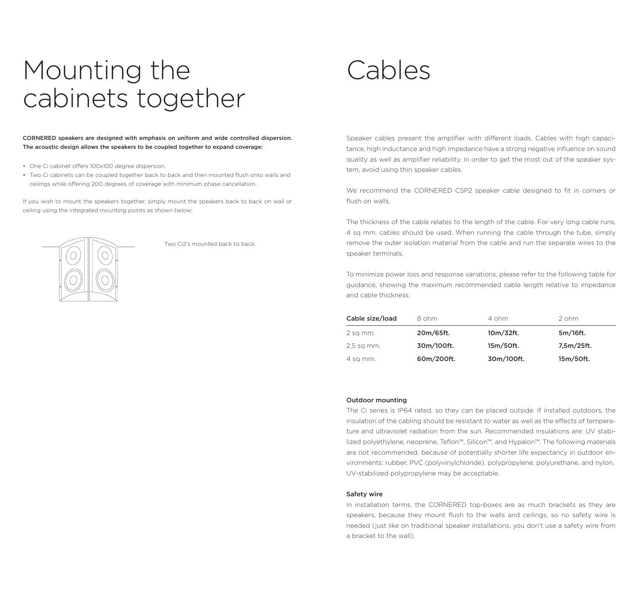### Mounting the cabinets together

#### CORNERED speakers are designed with emphasis on uniform and wide controlled dispersion. The acoustic design allows the speakers to be coupled together to expand coverage:

- One Ci cabinet offers 100x100 degree dispersion.
- Two Ci cabinets can be coupled together back to back and then mounted flush onto walls and ceilings while offering 200 degrees of coverage with minimum phase cancellation.

If you wish to mount the speakers together, simply mount the speakers back to back on wall or ceiling using the integrated mounting points as shown below:



Two Ci2's mounted back to back.

Cables

Speaker cables present the amplifier with different loads. Cables with high capacitance, high inductance and high impedance have a strong negative influence on sound quality as well as amplifier reliability. In order to get the most out of the speaker system, avoid using thin speaker cables.

We recommend the CORNERED CSP2 speaker cable designed to fit in corners or flush on walls.

The thickness of the cable relates to the length of the cable. For very long cable runs, 4 sq mm. cables should be used. When running the cable through the tube, simply remove the outer isolation material from the cable and run the separate wires to the speaker terminals.

To minimize power loss and response variations, please refer to the following table for guidance, showing the maximum recommended cable length relative to impedance and cable thickness:

| Cable size/load | 8 ohm      | 4 ohm      | $2$ ohm.   |  |
|-----------------|------------|------------|------------|--|
| 2 sq mm.        | 20m/65ft.  | 10m/32ft.  | 5m/16ft.   |  |
| 2,5 sq mm.      | 30m/100ft. | 15m/50ft.  | 7,5m/25ft. |  |
| 4 sq mm.        | 60m/200ft. | 30m/100ft. | 15m/50ft.  |  |

#### Outdoor mounting

The Ci series is IP64 rated, so they can be placed outside. If installed outdoors, the insulation of the cabling should be resistant to water as well as the effects of temperature and ultraviolet radiation from the sun. Recommended insulations are: UV stabilized polyethylene, neoprene, Teflon™, Silicon™, and Hypalon™. The following materials are not recommended, because of potentially shorter life expectancy in outdoor environments: rubber, PVC (polyvinylchloride), polypropylene, polyurethane, and nylon. UV-stabilized polypropylene may be acceptable.

#### Safety wire

In installation terms, the CORNERED top-boxes are as much brackets as they are speakers, because they mount flush to the walls and ceilings, so no safety wire is needed (just like on traditional speaker installations, you don't use a safety wire from a bracket to the wall).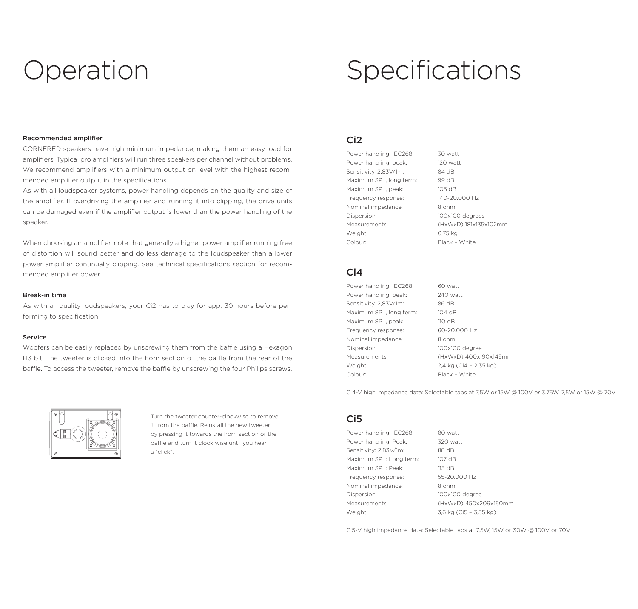# Operation

# Specifications

### Recommended amplifier

CORNERED speakers have high minimum impedance, making them an easy load for amplifiers. Typical pro amplifiers will run three speakers per channel without problems. We recommend amplifiers with a minimum output on level with the highest recommended amplifier output in the specifications.

As with all loudspeaker systems, power handling depends on the quality and size of the amplifier. If overdriving the amplifier and running it into clipping, the drive units can be damaged even if the amplifier output is lower than the power handling of the speaker.

When choosing an amplifier, note that generally a higher power amplifier running free of distortion will sound better and do less damage to the loudspeaker than a lower power amplifier continually clipping. See technical specifications section for recommended amplifier power.

#### Break-in time

As with all quality loudspeakers, your Ci2 has to play for app. 30 hours before performing to specification.

#### Service

Woofers can be easily replaced by unscrewing them from the baffle using a Hexagon H3 bit. The tweeter is clicked into the horn section of the baffle from the rear of the baffle. To access the tweeter, remove the baffle by unscrewing the four Philips screws.



Turn the tweeter counter-clockwise to remove it from the baffle. Reinstall the new tweeter by pressing it towards the horn section of the baffle and turn it clock wise until you hear a "click".

### Ci2

Power handling, IEC268: 30 watt Power handling, peak: 120 watt Sensitivity, 2,83V/1m: 84 dB Maximum SPL, long term: 99 dB Maximum SPL, peak: 105 dB Frequency response: 140-20.000 Hz Nominal impedance: 8 ohm Dispersion: 100x100 degrees Measurements: (HxWxD) 181x135x102mm Weight: 0,75 kg Colour: Black – White

### $C<sub>i</sub>4$

Power handling, IEC268: 60 watt Power handling, peak: 240 watt Sensitivity, 2,83V/1m: 86 dB Maximum SPL, long term: 104 dB Maximum SPL, peak: 110 dB Frequency response: 60-20.000 Hz Nominal impedance: 8 ohm Dispersion: 100x100 degree Measurements: (HxWxD) 400x190x145mm Weight: 2,4 kg (Ci4 – 2,35 kg) Colour: Black – White

Ci4-V high impedance data: Selectable taps at 7,5W or 15W @ 100V or 3.75W, 7,5W or 15W @ 70V

### Ci5

Power handling: IEC268: 80 watt Power handling: Peak: 320 watt Sensitivity: 2,83V/1m: 88 dB Maximum SPL: Long term: 107 dB Maximum SPL: Peak: 113 dB Frequency response: 55-20.000 Hz Nominal impedance: 8 ohm Dispersion: 100x100 degree Measurements: (HxWxD) 450x209x150mm Weight: 3,6 kg (Ci5 – 3,55 kg)

Ci5-V high impedance data: Selectable taps at 7,5W, 15W or 30W @ 100V or 70V